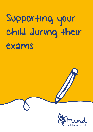# Supporting your child during their

exams

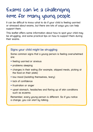## Exams can be a challenging time for many young people

It can be difficult to know what to do if your child is feeling worried or stressed about exams, but there are lots of ways you can help support them.

This leaflet offers some information about how to spot your child may be struggling, and some practical tips on how to support them during their exams.

#### **Signs your child might be struggling**

Some common signs that a young person is feeling overwhelmed are:

- feeling worried or anxious
- problems sleeping
- changes in their eating (for example, skipped meals, picking at the food on their plate)
- low mood (isolating themselves, teary)
- lack of confidence
- frustration or anger
- upset stomach, headaches and flaring up of skin conditions such as eczema.

Remember, every young person is different. So if you notice a change, you can start by talking.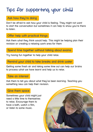## Tips for supporting your child

#### **Ask how they're doing**

Don't be afraid to ask how your child is feeling. They might not want to start the conversation but sometimes it can help to show you're there to listen.

#### **Offer help with practical things**

Ask them what they think would help. This might be helping plan their revision or creating a relaxing work area for them

#### **Spend time together without talking about exams**

Try having fun together to help your child relax.

#### **Remind your child to take breaks and drink water**

Getting some fresh air and taking some time out can help our brains to process what we have learnt and help us to relax.

#### **Take an interest**

Ask them to tell you about what they've been learning. Teaching you something new can help their revision.

#### **Give them space**

Sometimes your child might just need a little time to themselves to relax. Encourage them to have a bath, watch a film, or listen to some music.